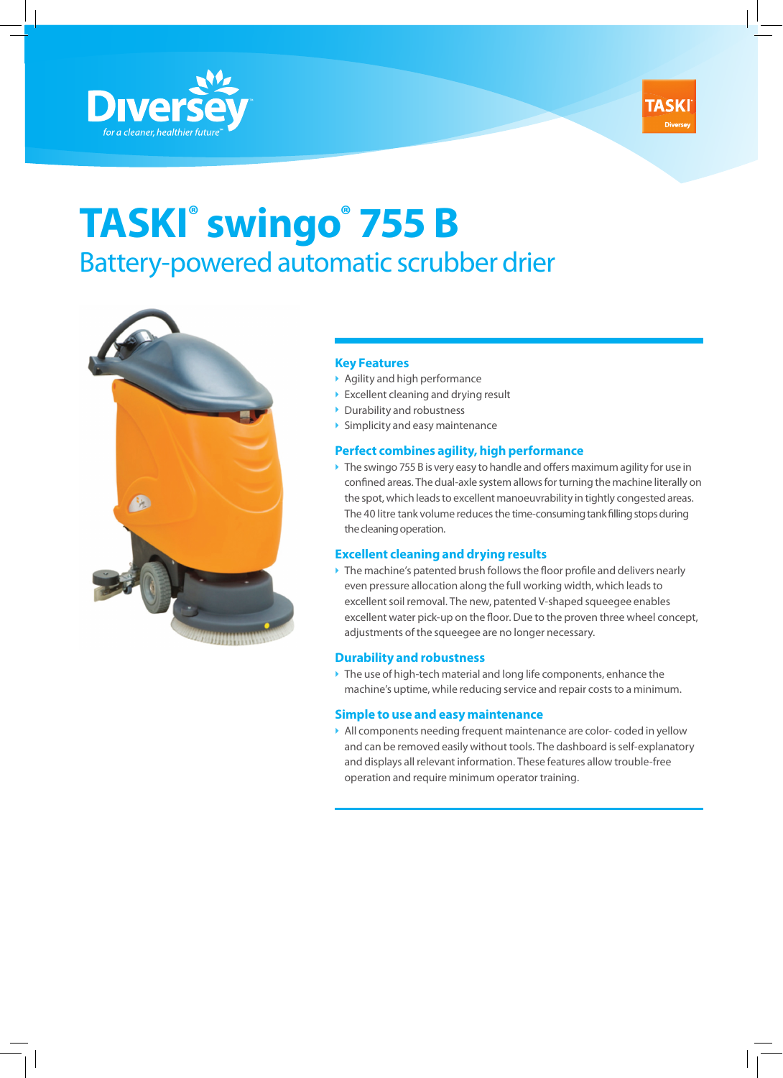



# **TASKI® swingo® 755 B**  Battery-powered automatic scrubber drier



### **Key Features**

- $\blacktriangleright$  Agility and high performance
- $\triangleright$  Excellent cleaning and drying result
- **Durability and robustness**
- $\triangleright$  Simplicity and easy maintenance

### **Perfect combines agility, high performance**

 $\triangleright$  The swingo 755 B is very easy to handle and offers maximum agility for use in confined areas. The dual-axle system allows for turning the machine literally on the spot, which leads to excellent manoeuvrability in tightly congested areas. The 40 litre tank volume reduces the time-consuming tank filling stops during the cleaning operation.

### **Excellent cleaning and drying results**

 $\triangleright$  The machine's patented brush follows the floor profile and delivers nearly even pressure allocation along the full working width, which leads to excellent soil removal. The new, patented V-shaped squeegee enables excellent water pick-up on the floor. Due to the proven three wheel concept, adjustments of the squeegee are no longer necessary.

### **Durability and robustness**

 $\blacktriangleright$  The use of high-tech material and long life components, enhance the machine's uptime, while reducing service and repair costs to a minimum.

### **Simple to use and easy maintenance**

` All components needing frequent maintenance are color- coded in yellow and can be removed easily without tools. The dashboard is self-explanatory and displays all relevant information. These features allow trouble-free operation and require minimum operator training.